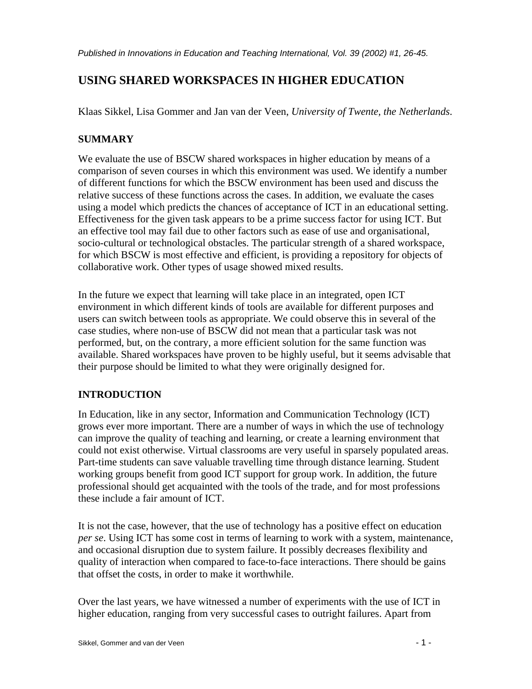# **USING SHARED WORKSPACES IN HIGHER EDUCATION**

Klaas Sikkel, Lisa Gommer and Jan van der Veen, *University of Twente, the Netherlands*.

# **SUMMARY**

We evaluate the use of BSCW shared workspaces in higher education by means of a comparison of seven courses in which this environment was used. We identify a number of different functions for which the BSCW environment has been used and discuss the relative success of these functions across the cases. In addition, we evaluate the cases using a model which predicts the chances of acceptance of ICT in an educational setting. Effectiveness for the given task appears to be a prime success factor for using ICT. But an effective tool may fail due to other factors such as ease of use and organisational, socio-cultural or technological obstacles. The particular strength of a shared workspace, for which BSCW is most effective and efficient, is providing a repository for objects of collaborative work. Other types of usage showed mixed results.

In the future we expect that learning will take place in an integrated, open ICT environment in which different kinds of tools are available for different purposes and users can switch between tools as appropriate. We could observe this in several of the case studies, where non-use of BSCW did not mean that a particular task was not performed, but, on the contrary, a more efficient solution for the same function was available. Shared workspaces have proven to be highly useful, but it seems advisable that their purpose should be limited to what they were originally designed for.

# **INTRODUCTION**

In Education, like in any sector, Information and Communication Technology (ICT) grows ever more important. There are a number of ways in which the use of technology can improve the quality of teaching and learning, or create a learning environment that could not exist otherwise. Virtual classrooms are very useful in sparsely populated areas. Part-time students can save valuable travelling time through distance learning. Student working groups benefit from good ICT support for group work. In addition, the future professional should get acquainted with the tools of the trade, and for most professions these include a fair amount of ICT.

It is not the case, however, that the use of technology has a positive effect on education *per se*. Using ICT has some cost in terms of learning to work with a system, maintenance, and occasional disruption due to system failure. It possibly decreases flexibility and quality of interaction when compared to face-to-face interactions. There should be gains that offset the costs, in order to make it worthwhile.

Over the last years, we have witnessed a number of experiments with the use of ICT in higher education, ranging from very successful cases to outright failures. Apart from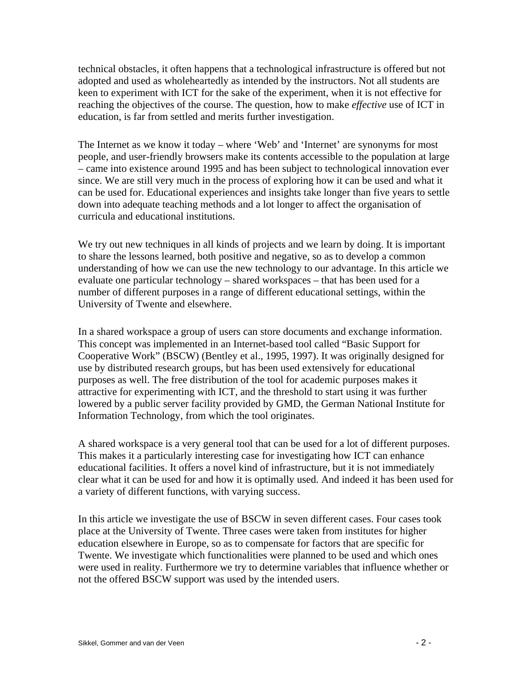technical obstacles, it often happens that a technological infrastructure is offered but not adopted and used as wholeheartedly as intended by the instructors. Not all students are keen to experiment with ICT for the sake of the experiment, when it is not effective for reaching the objectives of the course. The question, how to make *effective* use of ICT in education, is far from settled and merits further investigation.

The Internet as we know it today – where 'Web' and 'Internet' are synonyms for most people, and user-friendly browsers make its contents accessible to the population at large – came into existence around 1995 and has been subject to technological innovation ever since. We are still very much in the process of exploring how it can be used and what it can be used for. Educational experiences and insights take longer than five years to settle down into adequate teaching methods and a lot longer to affect the organisation of curricula and educational institutions.

We try out new techniques in all kinds of projects and we learn by doing. It is important to share the lessons learned, both positive and negative, so as to develop a common understanding of how we can use the new technology to our advantage. In this article we evaluate one particular technology – shared workspaces – that has been used for a number of different purposes in a range of different educational settings, within the University of Twente and elsewhere.

In a shared workspace a group of users can store documents and exchange information. This concept was implemented in an Internet-based tool called "Basic Support for Cooperative Work" (BSCW) (Bentley et al., 1995, 1997). It was originally designed for use by distributed research groups, but has been used extensively for educational purposes as well. The free distribution of the tool for academic purposes makes it attractive for experimenting with ICT, and the threshold to start using it was further lowered by a public server facility provided by GMD, the German National Institute for Information Technology, from which the tool originates.

A shared workspace is a very general tool that can be used for a lot of different purposes. This makes it a particularly interesting case for investigating how ICT can enhance educational facilities. It offers a novel kind of infrastructure, but it is not immediately clear what it can be used for and how it is optimally used. And indeed it has been used for a variety of different functions, with varying success.

In this article we investigate the use of BSCW in seven different cases. Four cases took place at the University of Twente. Three cases were taken from institutes for higher education elsewhere in Europe, so as to compensate for factors that are specific for Twente. We investigate which functionalities were planned to be used and which ones were used in reality. Furthermore we try to determine variables that influence whether or not the offered BSCW support was used by the intended users.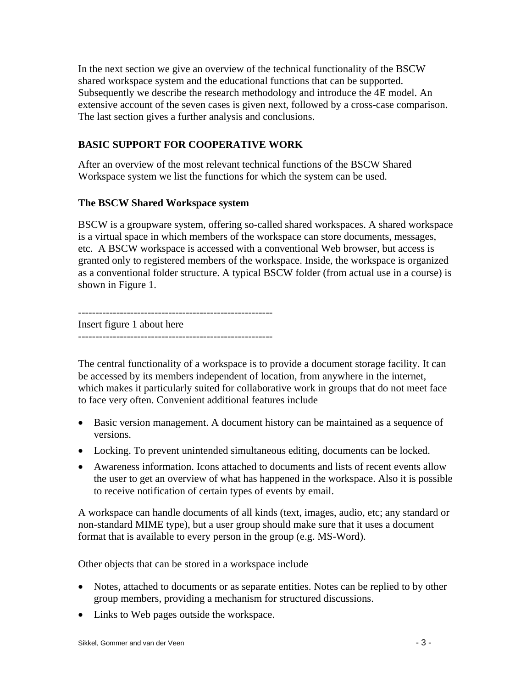In the next section we give an overview of the technical functionality of the BSCW shared workspace system and the educational functions that can be supported. Subsequently we describe the research methodology and introduce the 4E model. An extensive account of the seven cases is given next, followed by a cross-case comparison. The last section gives a further analysis and conclusions.

# **BASIC SUPPORT FOR COOPERATIVE WORK**

After an overview of the most relevant technical functions of the BSCW Shared Workspace system we list the functions for which the system can be used.

#### **The BSCW Shared Workspace system**

BSCW is a groupware system, offering so-called shared workspaces. A shared workspace is a virtual space in which members of the workspace can store documents, messages, etc. A BSCW workspace is accessed with a conventional Web browser, but access is granted only to registered members of the workspace. Inside, the workspace is organized as a conventional folder structure. A typical BSCW folder (from actual use in a course) is shown in Figure 1.

-------------------------------------------------------- Insert figure 1 about here --------------------------------------------------------

The central functionality of a workspace is to provide a document storage facility. It can be accessed by its members independent of location, from anywhere in the internet, which makes it particularly suited for collaborative work in groups that do not meet face to face very often. Convenient additional features include

- Basic version management. A document history can be maintained as a sequence of versions.
- Locking. To prevent unintended simultaneous editing, documents can be locked.
- Awareness information. Icons attached to documents and lists of recent events allow the user to get an overview of what has happened in the workspace. Also it is possible to receive notification of certain types of events by email.

A workspace can handle documents of all kinds (text, images, audio, etc; any standard or non-standard MIME type), but a user group should make sure that it uses a document format that is available to every person in the group (e.g. MS-Word).

Other objects that can be stored in a workspace include

- Notes, attached to documents or as separate entities. Notes can be replied to by other group members, providing a mechanism for structured discussions.
- Links to Web pages outside the workspace.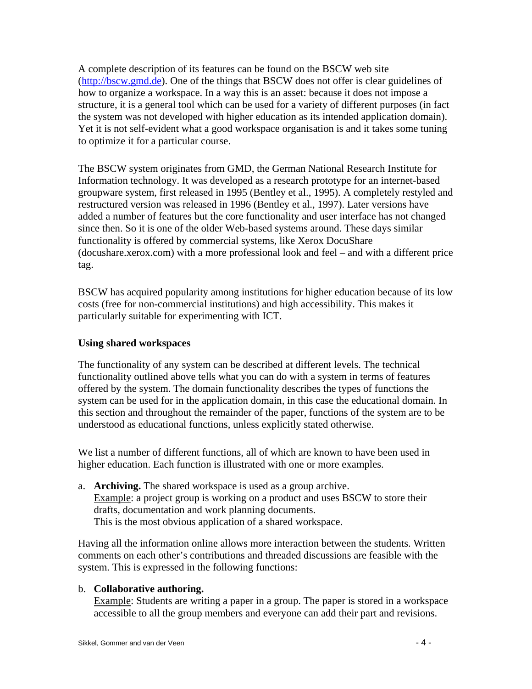A complete description of its features can be found on the BSCW web site (http://bscw.gmd.de). One of the things that BSCW does not offer is clear guidelines of how to organize a workspace. In a way this is an asset: because it does not impose a structure, it is a general tool which can be used for a variety of different purposes (in fact the system was not developed with higher education as its intended application domain). Yet it is not self-evident what a good workspace organisation is and it takes some tuning to optimize it for a particular course.

The BSCW system originates from GMD, the German National Research Institute for Information technology. It was developed as a research prototype for an internet-based groupware system, first released in 1995 (Bentley et al., 1995). A completely restyled and restructured version was released in 1996 (Bentley et al., 1997). Later versions have added a number of features but the core functionality and user interface has not changed since then. So it is one of the older Web-based systems around. These days similar functionality is offered by commercial systems, like Xerox DocuShare (docushare.xerox.com) with a more professional look and feel – and with a different price tag.

BSCW has acquired popularity among institutions for higher education because of its low costs (free for non-commercial institutions) and high accessibility. This makes it particularly suitable for experimenting with ICT.

## **Using shared workspaces**

The functionality of any system can be described at different levels. The technical functionality outlined above tells what you can do with a system in terms of features offered by the system. The domain functionality describes the types of functions the system can be used for in the application domain, in this case the educational domain. In this section and throughout the remainder of the paper, functions of the system are to be understood as educational functions, unless explicitly stated otherwise.

We list a number of different functions, all of which are known to have been used in higher education. Each function is illustrated with one or more examples.

a. **Archiving.** The shared workspace is used as a group archive. Example: a project group is working on a product and uses BSCW to store their drafts, documentation and work planning documents. This is the most obvious application of a shared workspace.

Having all the information online allows more interaction between the students. Written comments on each other's contributions and threaded discussions are feasible with the system. This is expressed in the following functions:

### b. **Collaborative authoring.**

Example: Students are writing a paper in a group. The paper is stored in a workspace accessible to all the group members and everyone can add their part and revisions.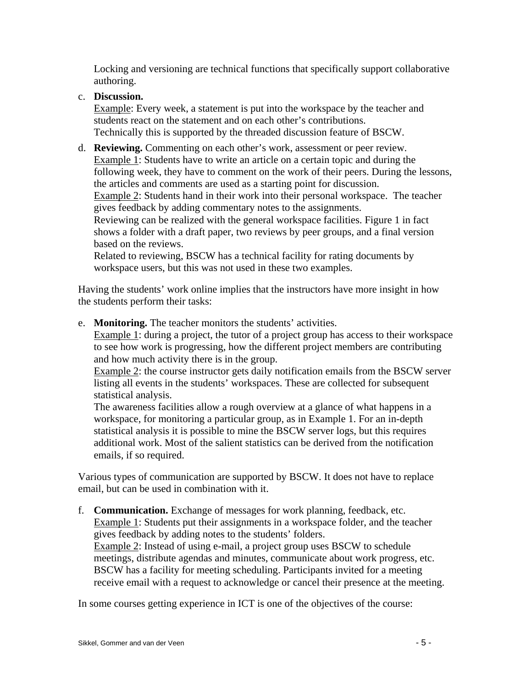Locking and versioning are technical functions that specifically support collaborative authoring.

# c. **Discussion.**

Example: Every week, a statement is put into the workspace by the teacher and students react on the statement and on each other's contributions. Technically this is supported by the threaded discussion feature of BSCW.

# d. **Reviewing.** Commenting on each other's work, assessment or peer review.

Example 1: Students have to write an article on a certain topic and during the following week, they have to comment on the work of their peers. During the lessons, the articles and comments are used as a starting point for discussion. Example 2: Students hand in their work into their personal workspace. The teacher gives feedback by adding commentary notes to the assignments. Reviewing can be realized with the general workspace facilities. Figure 1 in fact shows a folder with a draft paper, two reviews by peer groups, and a final version based on the reviews.

Related to reviewing, BSCW has a technical facility for rating documents by workspace users, but this was not used in these two examples.

Having the students' work online implies that the instructors have more insight in how the students perform their tasks:

e. **Monitoring.** The teacher monitors the students' activities.

Example 1: during a project, the tutor of a project group has access to their workspace to see how work is progressing, how the different project members are contributing and how much activity there is in the group.

Example 2: the course instructor gets daily notification emails from the BSCW server listing all events in the students' workspaces. These are collected for subsequent statistical analysis.

The awareness facilities allow a rough overview at a glance of what happens in a workspace, for monitoring a particular group, as in Example 1. For an in-depth statistical analysis it is possible to mine the BSCW server logs, but this requires additional work. Most of the salient statistics can be derived from the notification emails, if so required.

Various types of communication are supported by BSCW. It does not have to replace email, but can be used in combination with it.

f. **Communication.** Exchange of messages for work planning, feedback, etc. Example 1: Students put their assignments in a workspace folder, and the teacher gives feedback by adding notes to the students' folders. Example 2: Instead of using e-mail, a project group uses BSCW to schedule meetings, distribute agendas and minutes, communicate about work progress, etc. BSCW has a facility for meeting scheduling. Participants invited for a meeting receive email with a request to acknowledge or cancel their presence at the meeting.

In some courses getting experience in ICT is one of the objectives of the course: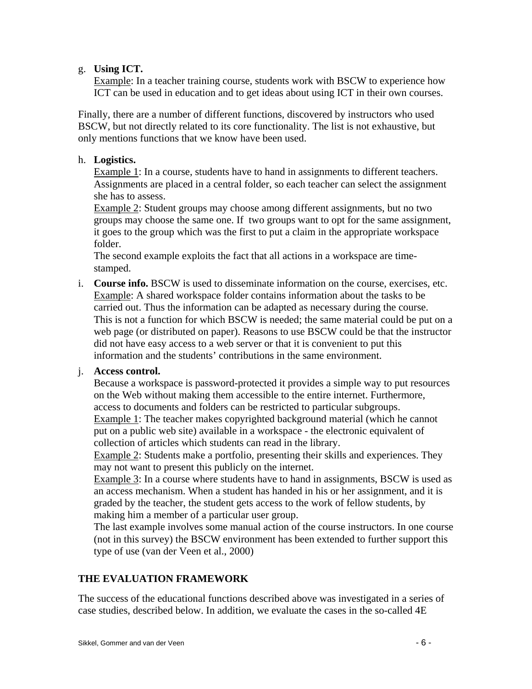### g. **Using ICT.**

Example: In a teacher training course, students work with BSCW to experience how ICT can be used in education and to get ideas about using ICT in their own courses.

Finally, there are a number of different functions, discovered by instructors who used BSCW, but not directly related to its core functionality. The list is not exhaustive, but only mentions functions that we know have been used.

# h. **Logistics.**

Example 1: In a course, students have to hand in assignments to different teachers. Assignments are placed in a central folder, so each teacher can select the assignment she has to assess.

Example 2: Student groups may choose among different assignments, but no two groups may choose the same one. If two groups want to opt for the same assignment, it goes to the group which was the first to put a claim in the appropriate workspace folder.

The second example exploits the fact that all actions in a workspace are timestamped.

i. **Course info.** BSCW is used to disseminate information on the course, exercises, etc. Example: A shared workspace folder contains information about the tasks to be carried out. Thus the information can be adapted as necessary during the course. This is not a function for which BSCW is needed; the same material could be put on a web page (or distributed on paper). Reasons to use BSCW could be that the instructor did not have easy access to a web server or that it is convenient to put this information and the students' contributions in the same environment.

# j. **Access control.**

Because a workspace is password-protected it provides a simple way to put resources on the Web without making them accessible to the entire internet. Furthermore, access to documents and folders can be restricted to particular subgroups. Example 1: The teacher makes copyrighted background material (which he cannot

put on a public web site) available in a workspace - the electronic equivalent of collection of articles which students can read in the library.

Example 2: Students make a portfolio, presenting their skills and experiences. They may not want to present this publicly on the internet.

Example 3: In a course where students have to hand in assignments, BSCW is used as an access mechanism. When a student has handed in his or her assignment, and it is graded by the teacher, the student gets access to the work of fellow students, by making him a member of a particular user group.

The last example involves some manual action of the course instructors. In one course (not in this survey) the BSCW environment has been extended to further support this type of use (van der Veen et al., 2000)

# **THE EVALUATION FRAMEWORK**

The success of the educational functions described above was investigated in a series of case studies, described below. In addition, we evaluate the cases in the so-called 4E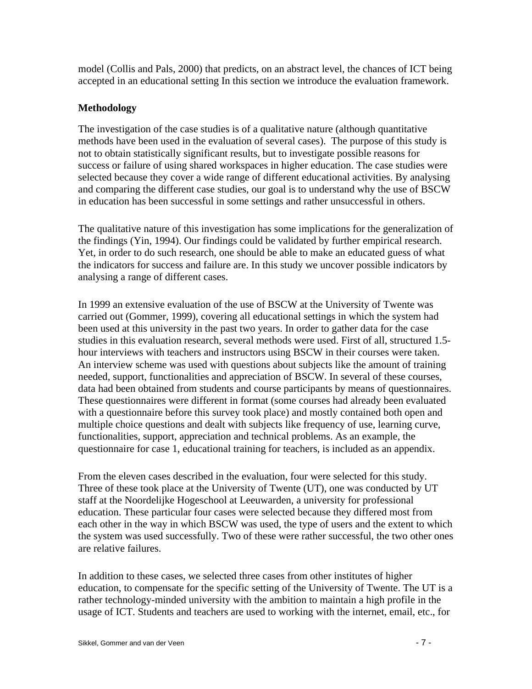model (Collis and Pals, 2000) that predicts, on an abstract level, the chances of ICT being accepted in an educational setting In this section we introduce the evaluation framework.

# **Methodology**

The investigation of the case studies is of a qualitative nature (although quantitative methods have been used in the evaluation of several cases). The purpose of this study is not to obtain statistically significant results, but to investigate possible reasons for success or failure of using shared workspaces in higher education. The case studies were selected because they cover a wide range of different educational activities. By analysing and comparing the different case studies, our goal is to understand why the use of BSCW in education has been successful in some settings and rather unsuccessful in others.

The qualitative nature of this investigation has some implications for the generalization of the findings (Yin, 1994). Our findings could be validated by further empirical research. Yet, in order to do such research, one should be able to make an educated guess of what the indicators for success and failure are. In this study we uncover possible indicators by analysing a range of different cases.

In 1999 an extensive evaluation of the use of BSCW at the University of Twente was carried out (Gommer, 1999), covering all educational settings in which the system had been used at this university in the past two years. In order to gather data for the case studies in this evaluation research, several methods were used. First of all, structured 1.5 hour interviews with teachers and instructors using BSCW in their courses were taken. An interview scheme was used with questions about subjects like the amount of training needed, support, functionalities and appreciation of BSCW. In several of these courses, data had been obtained from students and course participants by means of questionnaires. These questionnaires were different in format (some courses had already been evaluated with a questionnaire before this survey took place) and mostly contained both open and multiple choice questions and dealt with subjects like frequency of use, learning curve, functionalities, support, appreciation and technical problems. As an example, the questionnaire for case 1, educational training for teachers, is included as an appendix.

From the eleven cases described in the evaluation, four were selected for this study. Three of these took place at the University of Twente (UT), one was conducted by UT staff at the Noordelijke Hogeschool at Leeuwarden, a university for professional education. These particular four cases were selected because they differed most from each other in the way in which BSCW was used, the type of users and the extent to which the system was used successfully. Two of these were rather successful, the two other ones are relative failures.

In addition to these cases, we selected three cases from other institutes of higher education, to compensate for the specific setting of the University of Twente. The UT is a rather technology-minded university with the ambition to maintain a high profile in the usage of ICT. Students and teachers are used to working with the internet, email, etc., for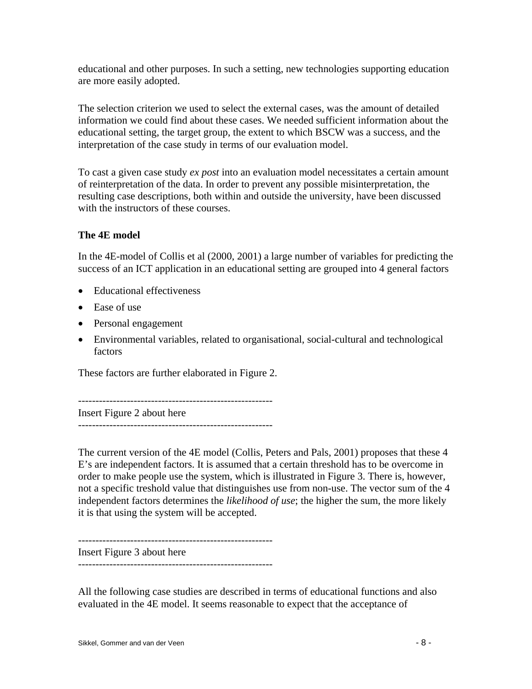educational and other purposes. In such a setting, new technologies supporting education are more easily adopted.

The selection criterion we used to select the external cases, was the amount of detailed information we could find about these cases. We needed sufficient information about the educational setting, the target group, the extent to which BSCW was a success, and the interpretation of the case study in terms of our evaluation model.

To cast a given case study *ex post* into an evaluation model necessitates a certain amount of reinterpretation of the data. In order to prevent any possible misinterpretation, the resulting case descriptions, both within and outside the university, have been discussed with the instructors of these courses.

# **The 4E model**

In the 4E-model of Collis et al (2000, 2001) a large number of variables for predicting the success of an ICT application in an educational setting are grouped into 4 general factors

- Educational effectiveness
- Ease of use
- Personal engagement
- Environmental variables, related to organisational, social-cultural and technological factors

These factors are further elaborated in Figure 2.

-------------------------------------------------------- Insert Figure 2 about here --------------------------------------------------------

The current version of the 4E model (Collis, Peters and Pals, 2001) proposes that these 4 E's are independent factors. It is assumed that a certain threshold has to be overcome in order to make people use the system, which is illustrated in Figure 3. There is, however, not a specific treshold value that distinguishes use from non-use. The vector sum of the 4 independent factors determines the *likelihood of use*; the higher the sum, the more likely it is that using the system will be accepted.

--------------------------------------------------------

Insert Figure 3 about here --------------------------------------------------------

All the following case studies are described in terms of educational functions and also evaluated in the 4E model. It seems reasonable to expect that the acceptance of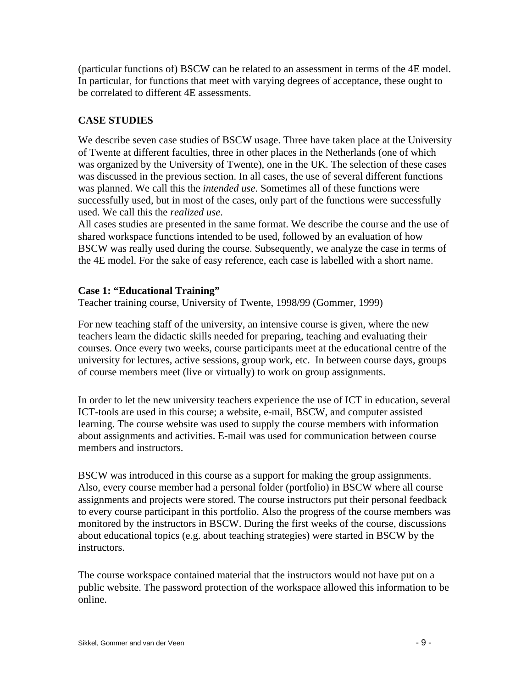(particular functions of) BSCW can be related to an assessment in terms of the 4E model. In particular, for functions that meet with varying degrees of acceptance, these ought to be correlated to different 4E assessments.

# **CASE STUDIES**

We describe seven case studies of BSCW usage. Three have taken place at the University of Twente at different faculties, three in other places in the Netherlands (one of which was organized by the University of Twente), one in the UK. The selection of these cases was discussed in the previous section. In all cases, the use of several different functions was planned. We call this the *intended use*. Sometimes all of these functions were successfully used, but in most of the cases, only part of the functions were successfully used. We call this the *realized use*.

All cases studies are presented in the same format. We describe the course and the use of shared workspace functions intended to be used, followed by an evaluation of how BSCW was really used during the course. Subsequently, we analyze the case in terms of the 4E model. For the sake of easy reference, each case is labelled with a short name.

#### **Case 1: "Educational Training"**

Teacher training course, University of Twente, 1998/99 (Gommer, 1999)

For new teaching staff of the university, an intensive course is given, where the new teachers learn the didactic skills needed for preparing, teaching and evaluating their courses. Once every two weeks, course participants meet at the educational centre of the university for lectures, active sessions, group work, etc. In between course days, groups of course members meet (live or virtually) to work on group assignments.

In order to let the new university teachers experience the use of ICT in education, several ICT-tools are used in this course; a website, e-mail, BSCW, and computer assisted learning. The course website was used to supply the course members with information about assignments and activities. E-mail was used for communication between course members and instructors.

BSCW was introduced in this course as a support for making the group assignments. Also, every course member had a personal folder (portfolio) in BSCW where all course assignments and projects were stored. The course instructors put their personal feedback to every course participant in this portfolio. Also the progress of the course members was monitored by the instructors in BSCW. During the first weeks of the course, discussions about educational topics (e.g. about teaching strategies) were started in BSCW by the instructors.

The course workspace contained material that the instructors would not have put on a public website. The password protection of the workspace allowed this information to be online.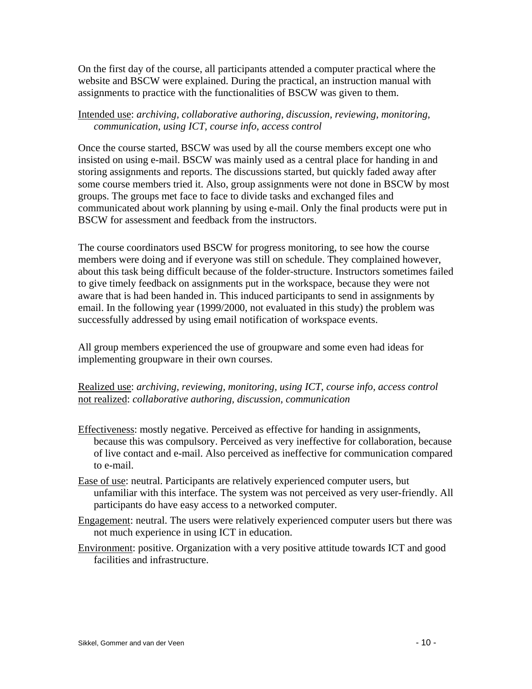On the first day of the course, all participants attended a computer practical where the website and BSCW were explained. During the practical, an instruction manual with assignments to practice with the functionalities of BSCW was given to them.

## Intended use: *archiving, collaborative authoring, discussion, reviewing, monitoring, communication, using ICT, course info, access control*

Once the course started, BSCW was used by all the course members except one who insisted on using e-mail. BSCW was mainly used as a central place for handing in and storing assignments and reports. The discussions started, but quickly faded away after some course members tried it. Also, group assignments were not done in BSCW by most groups. The groups met face to face to divide tasks and exchanged files and communicated about work planning by using e-mail. Only the final products were put in BSCW for assessment and feedback from the instructors.

The course coordinators used BSCW for progress monitoring, to see how the course members were doing and if everyone was still on schedule. They complained however, about this task being difficult because of the folder-structure. Instructors sometimes failed to give timely feedback on assignments put in the workspace, because they were not aware that is had been handed in. This induced participants to send in assignments by email. In the following year (1999/2000, not evaluated in this study) the problem was successfully addressed by using email notification of workspace events.

All group members experienced the use of groupware and some even had ideas for implementing groupware in their own courses.

Realized use: *archiving, reviewing, monitoring, using ICT, course info, access control*  not realized: *collaborative authoring, discussion, communication* 

- Effectiveness: mostly negative. Perceived as effective for handing in assignments, because this was compulsory. Perceived as very ineffective for collaboration, because of live contact and e-mail. Also perceived as ineffective for communication compared to e-mail.
- Ease of use: neutral. Participants are relatively experienced computer users, but unfamiliar with this interface. The system was not perceived as very user-friendly. All participants do have easy access to a networked computer.
- Engagement: neutral. The users were relatively experienced computer users but there was not much experience in using ICT in education.
- Environment: positive. Organization with a very positive attitude towards ICT and good facilities and infrastructure.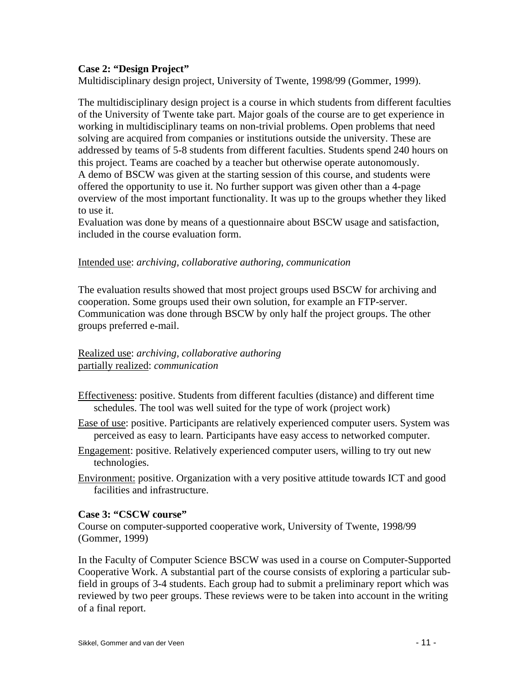# **Case 2: "Design Project"**

Multidisciplinary design project, University of Twente, 1998/99 (Gommer, 1999).

The multidisciplinary design project is a course in which students from different faculties of the University of Twente take part. Major goals of the course are to get experience in working in multidisciplinary teams on non-trivial problems. Open problems that need solving are acquired from companies or institutions outside the university. These are addressed by teams of 5-8 students from different faculties. Students spend 240 hours on this project. Teams are coached by a teacher but otherwise operate autonomously. A demo of BSCW was given at the starting session of this course, and students were offered the opportunity to use it. No further support was given other than a 4-page overview of the most important functionality. It was up to the groups whether they liked to use it.

Evaluation was done by means of a questionnaire about BSCW usage and satisfaction, included in the course evaluation form.

#### Intended use: *archiving, collaborative authoring, communication*

The evaluation results showed that most project groups used BSCW for archiving and cooperation. Some groups used their own solution, for example an FTP-server. Communication was done through BSCW by only half the project groups. The other groups preferred e-mail.

# Realized use: *archiving, collaborative authoring*  partially realized: *communication*

- Effectiveness: positive. Students from different faculties (distance) and different time schedules. The tool was well suited for the type of work (project work)
- Ease of use: positive. Participants are relatively experienced computer users. System was perceived as easy to learn. Participants have easy access to networked computer.
- Engagement: positive. Relatively experienced computer users, willing to try out new technologies.
- Environment: positive. Organization with a very positive attitude towards ICT and good facilities and infrastructure.

### **Case 3: "CSCW course"**

Course on computer-supported cooperative work, University of Twente, 1998/99 (Gommer, 1999)

In the Faculty of Computer Science BSCW was used in a course on Computer-Supported Cooperative Work. A substantial part of the course consists of exploring a particular subfield in groups of 3-4 students. Each group had to submit a preliminary report which was reviewed by two peer groups. These reviews were to be taken into account in the writing of a final report.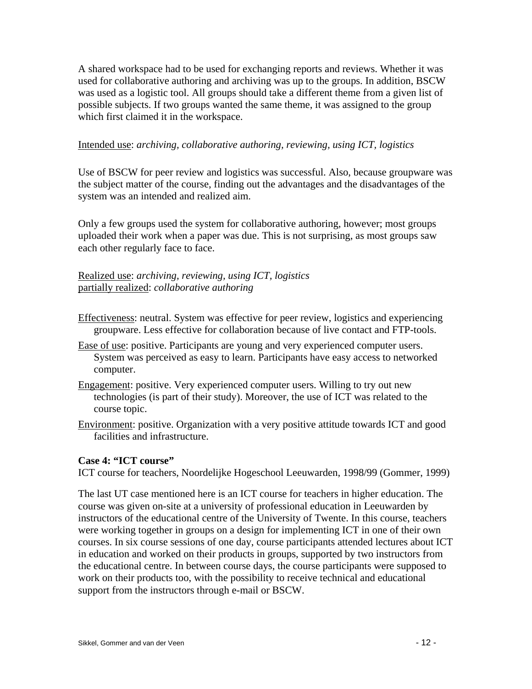A shared workspace had to be used for exchanging reports and reviews. Whether it was used for collaborative authoring and archiving was up to the groups. In addition, BSCW was used as a logistic tool. All groups should take a different theme from a given list of possible subjects. If two groups wanted the same theme, it was assigned to the group which first claimed it in the workspace.

#### Intended use: *archiving, collaborative authoring, reviewing, using ICT, logistics*

Use of BSCW for peer review and logistics was successful. Also, because groupware was the subject matter of the course, finding out the advantages and the disadvantages of the system was an intended and realized aim.

Only a few groups used the system for collaborative authoring, however; most groups uploaded their work when a paper was due. This is not surprising, as most groups saw each other regularly face to face.

Realized use: *archiving, reviewing, using ICT, logistics*  partially realized: *collaborative authoring*

- Effectiveness: neutral. System was effective for peer review, logistics and experiencing groupware. Less effective for collaboration because of live contact and FTP-tools.
- Ease of use: positive. Participants are young and very experienced computer users. System was perceived as easy to learn. Participants have easy access to networked computer.
- Engagement: positive. Very experienced computer users. Willing to try out new technologies (is part of their study). Moreover, the use of ICT was related to the course topic.
- Environment: positive. Organization with a very positive attitude towards ICT and good facilities and infrastructure.

#### **Case 4: "ICT course"**

ICT course for teachers, Noordelijke Hogeschool Leeuwarden, 1998/99 (Gommer, 1999)

The last UT case mentioned here is an ICT course for teachers in higher education. The course was given on-site at a university of professional education in Leeuwarden by instructors of the educational centre of the University of Twente. In this course, teachers were working together in groups on a design for implementing ICT in one of their own courses. In six course sessions of one day, course participants attended lectures about ICT in education and worked on their products in groups, supported by two instructors from the educational centre. In between course days, the course participants were supposed to work on their products too, with the possibility to receive technical and educational support from the instructors through e-mail or BSCW.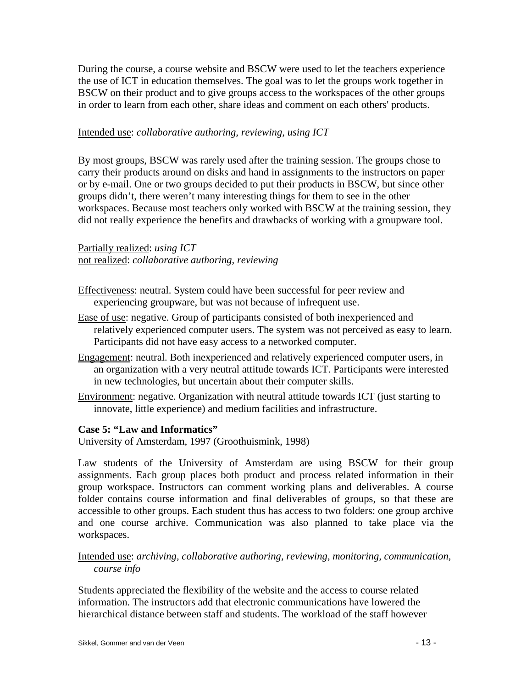During the course, a course website and BSCW were used to let the teachers experience the use of ICT in education themselves. The goal was to let the groups work together in BSCW on their product and to give groups access to the workspaces of the other groups in order to learn from each other, share ideas and comment on each others' products.

#### Intended use: *collaborative authoring, reviewing, using ICT*

By most groups, BSCW was rarely used after the training session. The groups chose to carry their products around on disks and hand in assignments to the instructors on paper or by e-mail. One or two groups decided to put their products in BSCW, but since other groups didn't, there weren't many interesting things for them to see in the other workspaces. Because most teachers only worked with BSCW at the training session, they did not really experience the benefits and drawbacks of working with a groupware tool.

Partially realized: *using ICT*  not realized: *collaborative authoring, reviewing* 

- Effectiveness: neutral. System could have been successful for peer review and experiencing groupware, but was not because of infrequent use.
- Ease of use: negative. Group of participants consisted of both inexperienced and relatively experienced computer users. The system was not perceived as easy to learn. Participants did not have easy access to a networked computer.
- Engagement: neutral. Both inexperienced and relatively experienced computer users, in an organization with a very neutral attitude towards ICT. Participants were interested in new technologies, but uncertain about their computer skills.
- Environment: negative. Organization with neutral attitude towards ICT (just starting to innovate, little experience) and medium facilities and infrastructure.

#### **Case 5: "Law and Informatics"**

University of Amsterdam, 1997 (Groothuismink, 1998)

Law students of the University of Amsterdam are using BSCW for their group assignments. Each group places both product and process related information in their group workspace. Instructors can comment working plans and deliverables. A course folder contains course information and final deliverables of groups, so that these are accessible to other groups. Each student thus has access to two folders: one group archive and one course archive. Communication was also planned to take place via the workspaces.

Intended use: *archiving, collaborative authoring, reviewing, monitoring, communication, course info*

Students appreciated the flexibility of the website and the access to course related information. The instructors add that electronic communications have lowered the hierarchical distance between staff and students. The workload of the staff however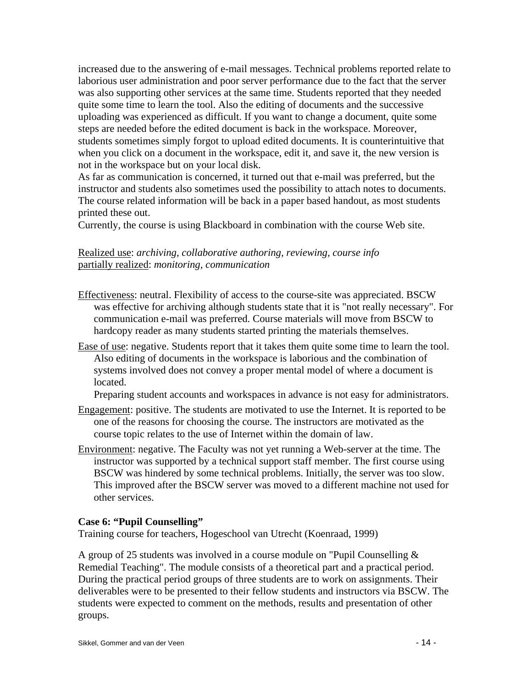increased due to the answering of e-mail messages. Technical problems reported relate to laborious user administration and poor server performance due to the fact that the server was also supporting other services at the same time. Students reported that they needed quite some time to learn the tool. Also the editing of documents and the successive uploading was experienced as difficult. If you want to change a document, quite some steps are needed before the edited document is back in the workspace. Moreover, students sometimes simply forgot to upload edited documents. It is counterintuitive that when you click on a document in the workspace, edit it, and save it, the new version is not in the workspace but on your local disk.

As far as communication is concerned, it turned out that e-mail was preferred, but the instructor and students also sometimes used the possibility to attach notes to documents. The course related information will be back in a paper based handout, as most students printed these out.

Currently, the course is using Blackboard in combination with the course Web site.

## Realized use: *archiving, collaborative authoring, reviewing, course info*  partially realized: *monitoring, communication*

- Effectiveness: neutral. Flexibility of access to the course-site was appreciated. BSCW was effective for archiving although students state that it is "not really necessary". For communication e-mail was preferred. Course materials will move from BSCW to hardcopy reader as many students started printing the materials themselves.
- Ease of use: negative. Students report that it takes them quite some time to learn the tool. Also editing of documents in the workspace is laborious and the combination of systems involved does not convey a proper mental model of where a document is located.

Preparing student accounts and workspaces in advance is not easy for administrators.

- Engagement: positive. The students are motivated to use the Internet. It is reported to be one of the reasons for choosing the course. The instructors are motivated as the course topic relates to the use of Internet within the domain of law.
- Environment: negative. The Faculty was not yet running a Web-server at the time. The instructor was supported by a technical support staff member. The first course using BSCW was hindered by some technical problems. Initially, the server was too slow. This improved after the BSCW server was moved to a different machine not used for other services.

### **Case 6: "Pupil Counselling"**

Training course for teachers, Hogeschool van Utrecht (Koenraad, 1999)

A group of 25 students was involved in a course module on "Pupil Counselling & Remedial Teaching". The module consists of a theoretical part and a practical period. During the practical period groups of three students are to work on assignments. Their deliverables were to be presented to their fellow students and instructors via BSCW. The students were expected to comment on the methods, results and presentation of other groups.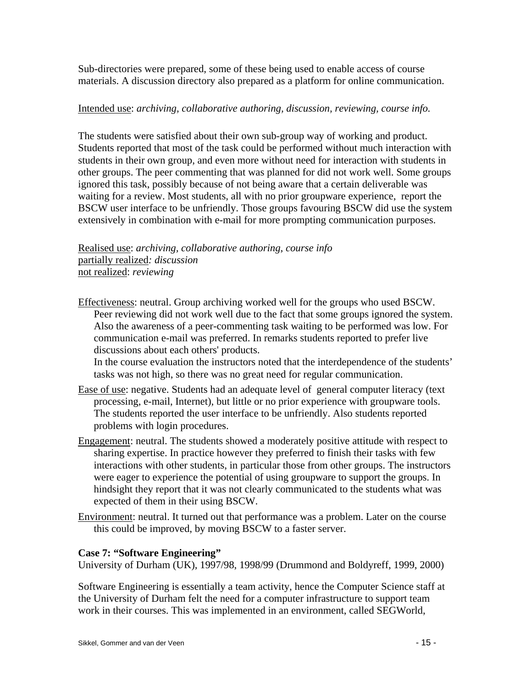Sub-directories were prepared, some of these being used to enable access of course materials. A discussion directory also prepared as a platform for online communication.

### Intended use: *archiving, collaborative authoring, discussion, reviewing, course info.*

The students were satisfied about their own sub-group way of working and product. Students reported that most of the task could be performed without much interaction with students in their own group, and even more without need for interaction with students in other groups. The peer commenting that was planned for did not work well. Some groups ignored this task, possibly because of not being aware that a certain deliverable was waiting for a review. Most students, all with no prior groupware experience, report the BSCW user interface to be unfriendly. Those groups favouring BSCW did use the system extensively in combination with e-mail for more prompting communication purposes.

Realised use: *archiving, collaborative authoring, course info*  partially realized*: discussion*  not realized: *reviewing*

Effectiveness: neutral. Group archiving worked well for the groups who used BSCW. Peer reviewing did not work well due to the fact that some groups ignored the system. Also the awareness of a peer-commenting task waiting to be performed was low. For communication e-mail was preferred. In remarks students reported to prefer live discussions about each others' products.

In the course evaluation the instructors noted that the interdependence of the students' tasks was not high, so there was no great need for regular communication.

- Ease of use: negative. Students had an adequate level of general computer literacy (text processing, e-mail, Internet), but little or no prior experience with groupware tools. The students reported the user interface to be unfriendly. Also students reported problems with login procedures.
- Engagement: neutral. The students showed a moderately positive attitude with respect to sharing expertise. In practice however they preferred to finish their tasks with few interactions with other students, in particular those from other groups. The instructors were eager to experience the potential of using groupware to support the groups. In hindsight they report that it was not clearly communicated to the students what was expected of them in their using BSCW.
- Environment: neutral. It turned out that performance was a problem. Later on the course this could be improved, by moving BSCW to a faster server.

### **Case 7: "Software Engineering"**

University of Durham (UK), 1997/98, 1998/99 (Drummond and Boldyreff, 1999, 2000)

Software Engineering is essentially a team activity, hence the Computer Science staff at the University of Durham felt the need for a computer infrastructure to support team work in their courses. This was implemented in an environment, called SEGWorld,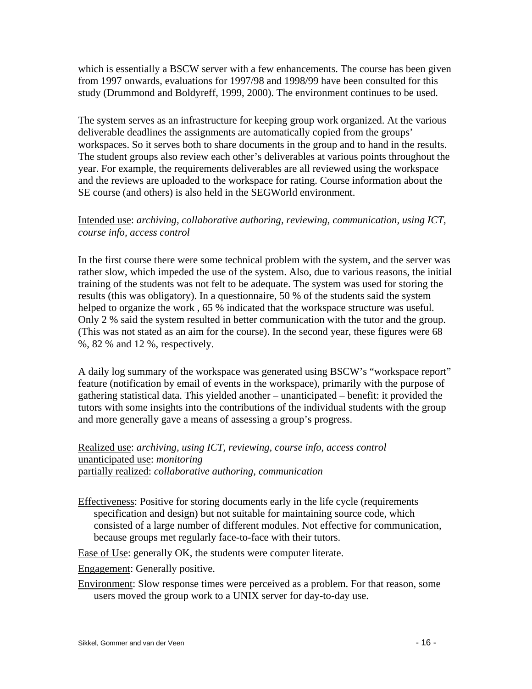which is essentially a BSCW server with a few enhancements. The course has been given from 1997 onwards, evaluations for 1997/98 and 1998/99 have been consulted for this study (Drummond and Boldyreff, 1999, 2000). The environment continues to be used.

The system serves as an infrastructure for keeping group work organized. At the various deliverable deadlines the assignments are automatically copied from the groups' workspaces. So it serves both to share documents in the group and to hand in the results. The student groups also review each other's deliverables at various points throughout the year. For example, the requirements deliverables are all reviewed using the workspace and the reviews are uploaded to the workspace for rating. Course information about the SE course (and others) is also held in the SEGWorld environment.

# Intended use: *archiving, collaborative authoring, reviewing, communication, using ICT, course info, access control*

In the first course there were some technical problem with the system, and the server was rather slow, which impeded the use of the system. Also, due to various reasons, the initial training of the students was not felt to be adequate. The system was used for storing the results (this was obligatory). In a questionnaire, 50 % of the students said the system helped to organize the work , 65 % indicated that the workspace structure was useful. Only 2 % said the system resulted in better communication with the tutor and the group. (This was not stated as an aim for the course). In the second year, these figures were 68 %, 82 % and 12 %, respectively.

A daily log summary of the workspace was generated using BSCW's "workspace report" feature (notification by email of events in the workspace), primarily with the purpose of gathering statistical data. This yielded another – unanticipated – benefit: it provided the tutors with some insights into the contributions of the individual students with the group and more generally gave a means of assessing a group's progress.

Realized use: *archiving, using ICT, reviewing, course info, access control*  unanticipated use: *monitoring*  partially realized: *collaborative authoring, communication* 

Effectiveness: Positive for storing documents early in the life cycle (requirements specification and design) but not suitable for maintaining source code, which consisted of a large number of different modules. Not effective for communication, because groups met regularly face-to-face with their tutors.

Ease of Use: generally OK, the students were computer literate.

Engagement: Generally positive.

Environment: Slow response times were perceived as a problem. For that reason, some users moved the group work to a UNIX server for day-to-day use.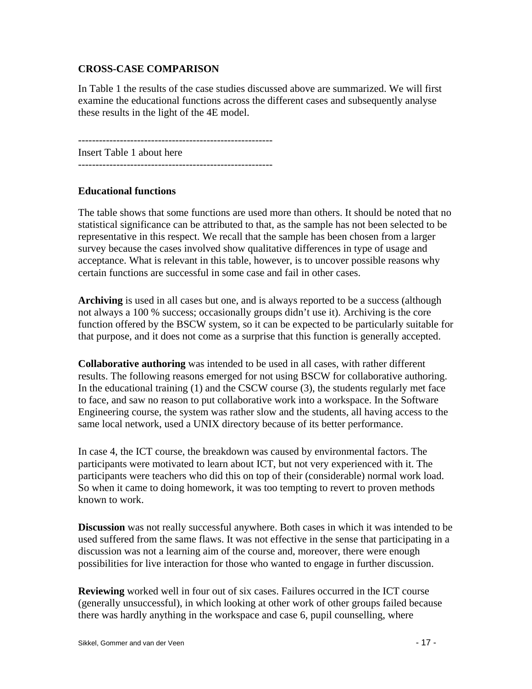# **CROSS-CASE COMPARISON**

In Table 1 the results of the case studies discussed above are summarized. We will first examine the educational functions across the different cases and subsequently analyse these results in the light of the 4E model.

-------------------------------------------------------- Insert Table 1 about here

# **Educational functions**

The table shows that some functions are used more than others. It should be noted that no statistical significance can be attributed to that, as the sample has not been selected to be representative in this respect. We recall that the sample has been chosen from a larger survey because the cases involved show qualitative differences in type of usage and acceptance. What is relevant in this table, however, is to uncover possible reasons why certain functions are successful in some case and fail in other cases.

**Archiving** is used in all cases but one, and is always reported to be a success (although not always a 100 % success; occasionally groups didn't use it). Archiving is the core function offered by the BSCW system, so it can be expected to be particularly suitable for that purpose, and it does not come as a surprise that this function is generally accepted.

**Collaborative authoring** was intended to be used in all cases, with rather different results. The following reasons emerged for not using BSCW for collaborative authoring. In the educational training (1) and the CSCW course (3), the students regularly met face to face, and saw no reason to put collaborative work into a workspace. In the Software Engineering course, the system was rather slow and the students, all having access to the same local network, used a UNIX directory because of its better performance.

In case 4, the ICT course, the breakdown was caused by environmental factors. The participants were motivated to learn about ICT, but not very experienced with it. The participants were teachers who did this on top of their (considerable) normal work load. So when it came to doing homework, it was too tempting to revert to proven methods known to work.

**Discussion** was not really successful anywhere. Both cases in which it was intended to be used suffered from the same flaws. It was not effective in the sense that participating in a discussion was not a learning aim of the course and, moreover, there were enough possibilities for live interaction for those who wanted to engage in further discussion.

**Reviewing** worked well in four out of six cases. Failures occurred in the ICT course (generally unsuccessful), in which looking at other work of other groups failed because there was hardly anything in the workspace and case 6, pupil counselling, where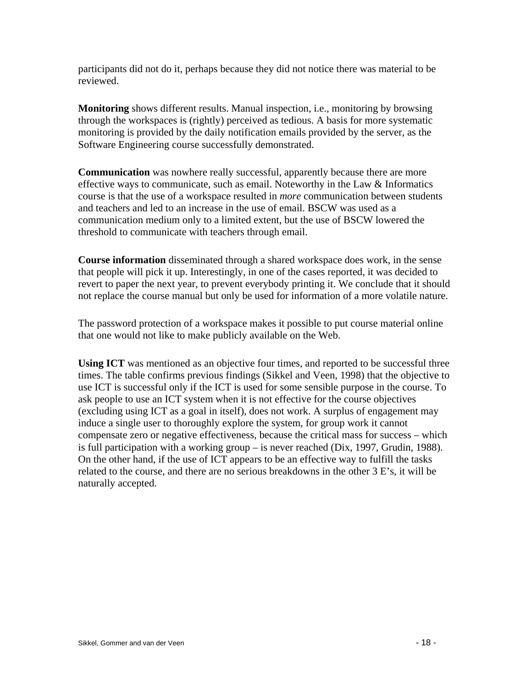participants did not do it, perhaps because they did not notice there was material to be reviewed.

**Monitoring** shows different results. Manual inspection, i.e., monitoring by browsing through the workspaces is (rightly) perceived as tedious. A basis for more systematic monitoring is provided by the daily notification emails provided by the server, as the Software Engineering course successfully demonstrated.

**Communication** was nowhere really successful, apparently because there are more effective ways to communicate, such as email. Noteworthy in the Law & Informatics course is that the use of a workspace resulted in *more* communication between students and teachers and led to an increase in the use of email. BSCW was used as a communication medium only to a limited extent, but the use of BSCW lowered the threshold to communicate with teachers through email.

**Course information** disseminated through a shared workspace does work, in the sense that people will pick it up. Interestingly, in one of the cases reported, it was decided to revert to paper the next year, to prevent everybody printing it. We conclude that it should not replace the course manual but only be used for information of a more volatile nature.

The password protection of a workspace makes it possible to put course material online that one would not like to make publicly available on the Web.

**Using ICT** was mentioned as an objective four times, and reported to be successful three times. The table confirms previous findings (Sikkel and Veen, 1998) that the objective to use ICT is successful only if the ICT is used for some sensible purpose in the course. To ask people to use an ICT system when it is not effective for the course objectives (excluding using ICT as a goal in itself), does not work. A surplus of engagement may induce a single user to thoroughly explore the system, for group work it cannot compensate zero or negative effectiveness, because the critical mass for success – which is full participation with a working group – is never reached (Dix, 1997, Grudin, 1988). On the other hand, if the use of ICT appears to be an effective way to fulfill the tasks related to the course, and there are no serious breakdowns in the other 3 E's, it will be naturally accepted.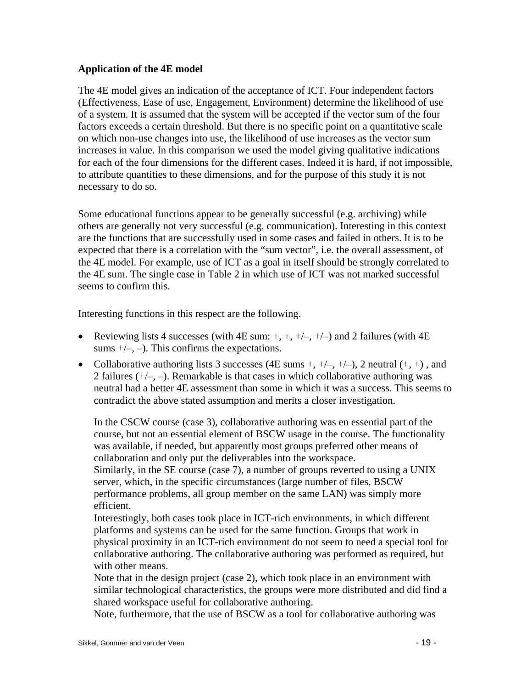### **Application of the 4E model**

The 4E model gives an indication of the acceptance of ICT. Four independent factors (Effectiveness, Ease of use, Engagement, Environment) determine the likelihood of use of a system. It is assumed that the system will be accepted if the vector sum of the four factors exceeds a certain threshold. But there is no specific point on a quantitative scale on which non-use changes into use, the likelihood of use increases as the vector sum increases in value. In this comparison we used the model giving qualitative indications for each of the four dimensions for the different cases. Indeed it is hard, if not impossible, to attribute quantities to these dimensions, and for the purpose of this study it is not necessary to do so.

Some educational functions appear to be generally successful (e.g. archiving) while others are generally not very successful (e.g. communication). Interesting in this context are the functions that are successfully used in some cases and failed in others. It is to be expected that there is a correlation with the "sum vector", i.e. the overall assessment, of the 4E model. For example, use of ICT as a goal in itself should be strongly correlated to the 4E sum. The single case in Table 2 in which use of ICT was not marked successful seems to confirm this.

Interesting functions in this respect are the following.

- Reviewing lists 4 successes (with 4E sum:  $+, +, +/-, +/)$  and 2 failures (with 4E sums  $+/-$ ,  $-$ ). This confirms the expectations.
- Collaborative authoring lists 3 successes (4E sums  $+, +/-, +/$ ), 2 neutral  $(+, +)$ , and 2 failures  $(+/-, -)$ . Remarkable is that cases in which collaborative authoring was neutral had a better 4E assessment than some in which it was a success. This seems to contradict the above stated assumption and merits a closer investigation.

In the CSCW course (case 3), collaborative authoring was en essential part of the course, but not an essential element of BSCW usage in the course. The functionality was available, if needed, but apparently most groups preferred other means of collaboration and only put the deliverables into the workspace.

Similarly, in the SE course (case 7), a number of groups reverted to using a UNIX server, which, in the specific circumstances (large number of files, BSCW performance problems, all group member on the same LAN) was simply more efficient.

Interestingly, both cases took place in ICT-rich environments, in which different platforms and systems can be used for the same function. Groups that work in physical proximity in an ICT-rich environment do not seem to need a special tool for collaborative authoring. The collaborative authoring was performed as required, but with other means.

Note that in the design project (case 2), which took place in an environment with similar technological characteristics, the groups were more distributed and did find a shared workspace useful for collaborative authoring.

Note, furthermore, that the use of BSCW as a tool for collaborative authoring was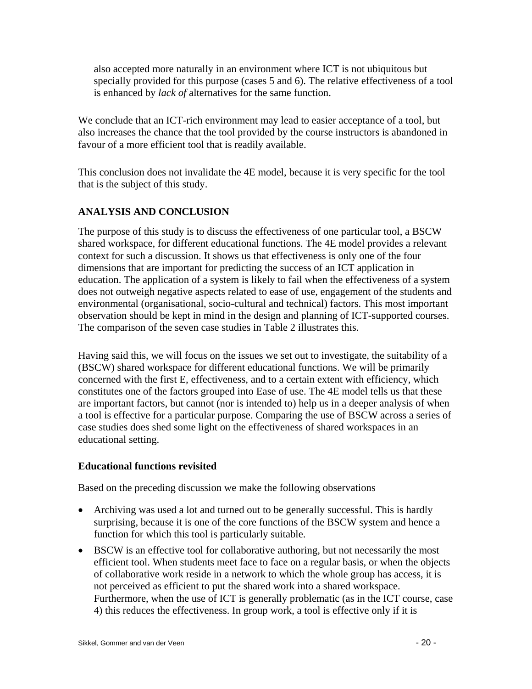also accepted more naturally in an environment where ICT is not ubiquitous but specially provided for this purpose (cases 5 and 6). The relative effectiveness of a tool is enhanced by *lack of* alternatives for the same function.

We conclude that an ICT-rich environment may lead to easier acceptance of a tool, but also increases the chance that the tool provided by the course instructors is abandoned in favour of a more efficient tool that is readily available.

This conclusion does not invalidate the 4E model, because it is very specific for the tool that is the subject of this study.

# **ANALYSIS AND CONCLUSION**

The purpose of this study is to discuss the effectiveness of one particular tool, a BSCW shared workspace, for different educational functions. The 4E model provides a relevant context for such a discussion. It shows us that effectiveness is only one of the four dimensions that are important for predicting the success of an ICT application in education. The application of a system is likely to fail when the effectiveness of a system does not outweigh negative aspects related to ease of use, engagement of the students and environmental (organisational, socio-cultural and technical) factors. This most important observation should be kept in mind in the design and planning of ICT-supported courses. The comparison of the seven case studies in Table 2 illustrates this.

Having said this, we will focus on the issues we set out to investigate, the suitability of a (BSCW) shared workspace for different educational functions. We will be primarily concerned with the first E, effectiveness, and to a certain extent with efficiency, which constitutes one of the factors grouped into Ease of use. The 4E model tells us that these are important factors, but cannot (nor is intended to) help us in a deeper analysis of when a tool is effective for a particular purpose. Comparing the use of BSCW across a series of case studies does shed some light on the effectiveness of shared workspaces in an educational setting.

# **Educational functions revisited**

Based on the preceding discussion we make the following observations

- Archiving was used a lot and turned out to be generally successful. This is hardly surprising, because it is one of the core functions of the BSCW system and hence a function for which this tool is particularly suitable.
- BSCW is an effective tool for collaborative authoring, but not necessarily the most efficient tool. When students meet face to face on a regular basis, or when the objects of collaborative work reside in a network to which the whole group has access, it is not perceived as efficient to put the shared work into a shared workspace. Furthermore, when the use of ICT is generally problematic (as in the ICT course, case 4) this reduces the effectiveness. In group work, a tool is effective only if it is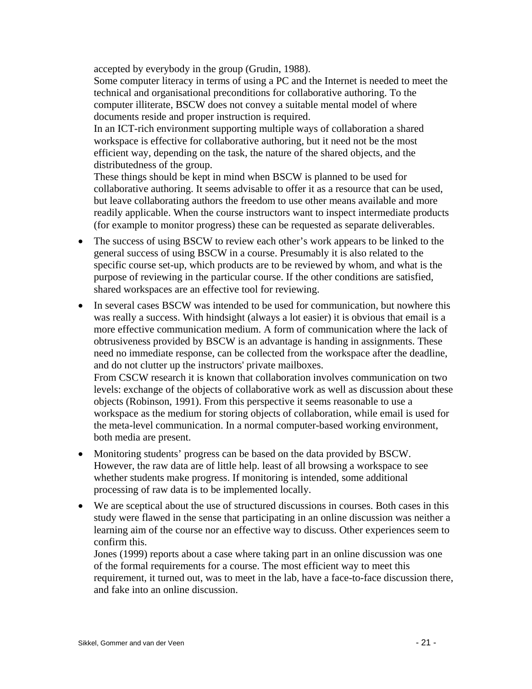accepted by everybody in the group (Grudin, 1988).

Some computer literacy in terms of using a PC and the Internet is needed to meet the technical and organisational preconditions for collaborative authoring. To the computer illiterate, BSCW does not convey a suitable mental model of where documents reside and proper instruction is required.

In an ICT-rich environment supporting multiple ways of collaboration a shared workspace is effective for collaborative authoring, but it need not be the most efficient way, depending on the task, the nature of the shared objects, and the distributedness of the group.

These things should be kept in mind when BSCW is planned to be used for collaborative authoring. It seems advisable to offer it as a resource that can be used, but leave collaborating authors the freedom to use other means available and more readily applicable. When the course instructors want to inspect intermediate products (for example to monitor progress) these can be requested as separate deliverables.

- The success of using BSCW to review each other's work appears to be linked to the general success of using BSCW in a course. Presumably it is also related to the specific course set-up, which products are to be reviewed by whom, and what is the purpose of reviewing in the particular course. If the other conditions are satisfied, shared workspaces are an effective tool for reviewing.
- In several cases BSCW was intended to be used for communication, but nowhere this was really a success. With hindsight (always a lot easier) it is obvious that email is a more effective communication medium. A form of communication where the lack of obtrusiveness provided by BSCW is an advantage is handing in assignments. These need no immediate response, can be collected from the workspace after the deadline, and do not clutter up the instructors' private mailboxes. From CSCW research it is known that collaboration involves communication on two levels: exchange of the objects of collaborative work as well as discussion about these objects (Robinson, 1991). From this perspective it seems reasonable to use a workspace as the medium for storing objects of collaboration, while email is used for the meta-level communication. In a normal computer-based working environment, both media are present.
- Monitoring students' progress can be based on the data provided by BSCW. However, the raw data are of little help. least of all browsing a workspace to see whether students make progress. If monitoring is intended, some additional processing of raw data is to be implemented locally.
- We are sceptical about the use of structured discussions in courses. Both cases in this study were flawed in the sense that participating in an online discussion was neither a learning aim of the course nor an effective way to discuss. Other experiences seem to confirm this.

Jones (1999) reports about a case where taking part in an online discussion was one of the formal requirements for a course. The most efficient way to meet this requirement, it turned out, was to meet in the lab, have a face-to-face discussion there, and fake into an online discussion.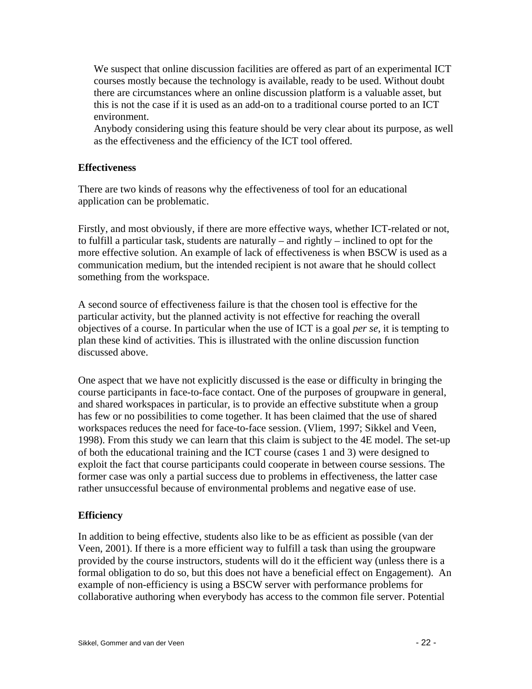We suspect that online discussion facilities are offered as part of an experimental ICT courses mostly because the technology is available, ready to be used. Without doubt there are circumstances where an online discussion platform is a valuable asset, but this is not the case if it is used as an add-on to a traditional course ported to an ICT environment.

Anybody considering using this feature should be very clear about its purpose, as well as the effectiveness and the efficiency of the ICT tool offered.

### **Effectiveness**

There are two kinds of reasons why the effectiveness of tool for an educational application can be problematic.

Firstly, and most obviously, if there are more effective ways, whether ICT-related or not, to fulfill a particular task, students are naturally – and rightly – inclined to opt for the more effective solution. An example of lack of effectiveness is when BSCW is used as a communication medium, but the intended recipient is not aware that he should collect something from the workspace.

A second source of effectiveness failure is that the chosen tool is effective for the particular activity, but the planned activity is not effective for reaching the overall objectives of a course. In particular when the use of ICT is a goal *per se*, it is tempting to plan these kind of activities. This is illustrated with the online discussion function discussed above.

One aspect that we have not explicitly discussed is the ease or difficulty in bringing the course participants in face-to-face contact. One of the purposes of groupware in general, and shared workspaces in particular, is to provide an effective substitute when a group has few or no possibilities to come together. It has been claimed that the use of shared workspaces reduces the need for face-to-face session. (Vliem, 1997; Sikkel and Veen, 1998). From this study we can learn that this claim is subject to the 4E model. The set-up of both the educational training and the ICT course (cases 1 and 3) were designed to exploit the fact that course participants could cooperate in between course sessions. The former case was only a partial success due to problems in effectiveness, the latter case rather unsuccessful because of environmental problems and negative ease of use.

### **Efficiency**

In addition to being effective, students also like to be as efficient as possible (van der Veen, 2001). If there is a more efficient way to fulfill a task than using the groupware provided by the course instructors, students will do it the efficient way (unless there is a formal obligation to do so, but this does not have a beneficial effect on Engagement). An example of non-efficiency is using a BSCW server with performance problems for collaborative authoring when everybody has access to the common file server. Potential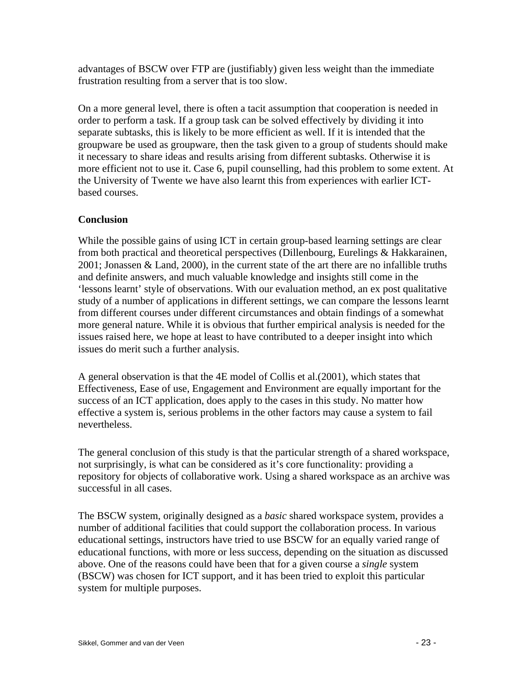advantages of BSCW over FTP are (justifiably) given less weight than the immediate frustration resulting from a server that is too slow.

On a more general level, there is often a tacit assumption that cooperation is needed in order to perform a task. If a group task can be solved effectively by dividing it into separate subtasks, this is likely to be more efficient as well. If it is intended that the groupware be used as groupware, then the task given to a group of students should make it necessary to share ideas and results arising from different subtasks. Otherwise it is more efficient not to use it. Case 6, pupil counselling, had this problem to some extent. At the University of Twente we have also learnt this from experiences with earlier ICTbased courses.

# **Conclusion**

While the possible gains of using ICT in certain group-based learning settings are clear from both practical and theoretical perspectives (Dillenbourg, Eurelings & Hakkarainen, 2001; Jonassen & Land, 2000), in the current state of the art there are no infallible truths and definite answers, and much valuable knowledge and insights still come in the 'lessons learnt' style of observations. With our evaluation method, an ex post qualitative study of a number of applications in different settings, we can compare the lessons learnt from different courses under different circumstances and obtain findings of a somewhat more general nature. While it is obvious that further empirical analysis is needed for the issues raised here, we hope at least to have contributed to a deeper insight into which issues do merit such a further analysis.

A general observation is that the 4E model of Collis et al.(2001), which states that Effectiveness, Ease of use, Engagement and Environment are equally important for the success of an ICT application, does apply to the cases in this study. No matter how effective a system is, serious problems in the other factors may cause a system to fail nevertheless.

The general conclusion of this study is that the particular strength of a shared workspace, not surprisingly, is what can be considered as it's core functionality: providing a repository for objects of collaborative work. Using a shared workspace as an archive was successful in all cases.

The BSCW system, originally designed as a *basic* shared workspace system, provides a number of additional facilities that could support the collaboration process. In various educational settings, instructors have tried to use BSCW for an equally varied range of educational functions, with more or less success, depending on the situation as discussed above. One of the reasons could have been that for a given course a *single* system (BSCW) was chosen for ICT support, and it has been tried to exploit this particular system for multiple purposes.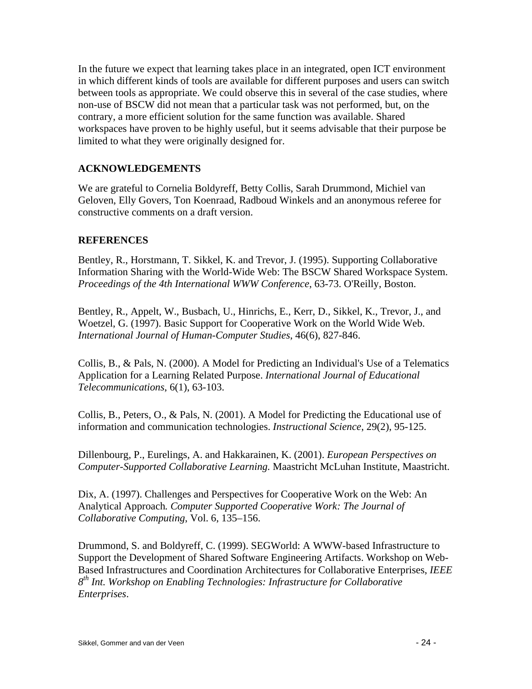In the future we expect that learning takes place in an integrated, open ICT environment in which different kinds of tools are available for different purposes and users can switch between tools as appropriate. We could observe this in several of the case studies, where non-use of BSCW did not mean that a particular task was not performed, but, on the contrary, a more efficient solution for the same function was available. Shared workspaces have proven to be highly useful, but it seems advisable that their purpose be limited to what they were originally designed for.

# **ACKNOWLEDGEMENTS**

We are grateful to Cornelia Boldyreff, Betty Collis, Sarah Drummond, Michiel van Geloven, Elly Govers, Ton Koenraad, Radboud Winkels and an anonymous referee for constructive comments on a draft version.

### **REFERENCES**

Bentley, R., Horstmann, T. Sikkel, K. and Trevor, J. (1995). Supporting Collaborative Information Sharing with the World-Wide Web: The BSCW Shared Workspace System. *Proceedings of the 4th International WWW Conference*, 63-73. O'Reilly, Boston.

Bentley, R., Appelt, W., Busbach, U., Hinrichs, E., Kerr, D., Sikkel, K., Trevor, J., and Woetzel, G. (1997). Basic Support for Cooperative Work on the World Wide Web. *International Journal of Human-Computer Studies*, 46(6), 827-846.

Collis, B., & Pals, N. (2000). A Model for Predicting an Individual's Use of a Telematics Application for a Learning Related Purpose. *International Journal of Educational Telecommunications*, 6(1), 63-103.

Collis, B., Peters, O., & Pals, N. (2001). A Model for Predicting the Educational use of information and communication technologies. *Instructional Science*, 29(2), 95-125.

Dillenbourg, P., Eurelings, A. and Hakkarainen, K. (2001). *European Perspectives on Computer-Supported Collaborative Learning.* Maastricht McLuhan Institute, Maastricht.

Dix, A. (1997). Challenges and Perspectives for Cooperative Work on the Web: An Analytical Approach*. Computer Supported Cooperative Work: The Journal of Collaborative Computing*, Vol. 6, 135–156.

Drummond, S. and Boldyreff, C. (1999). SEGWorld: A WWW-based Infrastructure to Support the Development of Shared Software Engineering Artifacts. Workshop on Web-Based Infrastructures and Coordination Architectures for Collaborative Enterprises, *IEEE 8th Int. Workshop on Enabling Technologies: Infrastructure for Collaborative Enterprises*.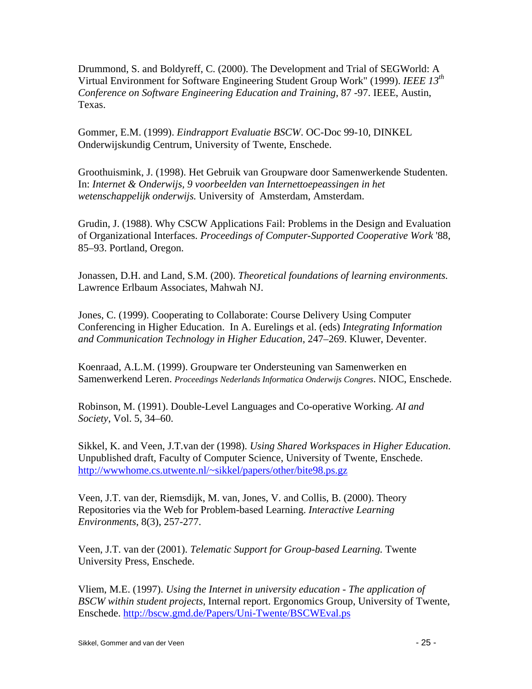Drummond, S. and Boldyreff, C. (2000). The Development and Trial of SEGWorld: A Virtual Environment for Software Engineering Student Group Work" (1999). *IEEE 13th Conference on Software Engineering Education and Training*, 87 -97. IEEE, Austin, Texas.

Gommer, E.M. (1999). *Eindrapport Evaluatie BSCW*. OC-Doc 99-10, DINKEL Onderwijskundig Centrum, University of Twente, Enschede.

Groothuismink, J. (1998). Het Gebruik van Groupware door Samenwerkende Studenten. In: *Internet & Onderwijs, 9 voorbeelden van Internettoepeassingen in het wetenschappelijk onderwijs.* University of Amsterdam, Amsterdam.

Grudin, J. (1988). Why CSCW Applications Fail: Problems in the Design and Evaluation of Organizational Interfaces. *Proceedings of Computer-Supported Cooperative Work* '88, 85–93. Portland, Oregon.

Jonassen, D.H. and Land, S.M. (200). *Theoretical foundations of learning environments.* Lawrence Erlbaum Associates, Mahwah NJ.

Jones, C. (1999). Cooperating to Collaborate: Course Delivery Using Computer Conferencing in Higher Education. In A. Eurelings et al. (eds) *Integrating Information and Communication Technology in Higher Education*, 247–269. Kluwer, Deventer.

Koenraad, A.L.M. (1999). Groupware ter Ondersteuning van Samenwerken en Samenwerkend Leren. *Proceedings Nederlands Informatica Onderwijs Congres*. NIOC, Enschede.

Robinson, M. (1991). Double-Level Languages and Co-operative Working. *AI and Society*, Vol. 5, 34–60.

Sikkel, K. and Veen, J.T.van der (1998). *Using Shared Workspaces in Higher Education*. Unpublished draft, Faculty of Computer Science, University of Twente, Enschede. http://wwwhome.cs.utwente.nl/~sikkel/papers/other/bite98.ps.gz

Veen, J.T. van der, Riemsdijk, M. van, Jones, V. and Collis, B. (2000). Theory Repositories via the Web for Problem-based Learning. *Interactive Learning Environments*, 8(3), 257-277.

Veen, J.T. van der (2001). *Telematic Support for Group-based Learning.* Twente University Press, Enschede.

Vliem, M.E. (1997). *Using the Internet in university education - The application of BSCW within student projects*, Internal report. Ergonomics Group, University of Twente, Enschede. http://bscw.gmd.de/Papers/Uni-Twente/BSCWEval.ps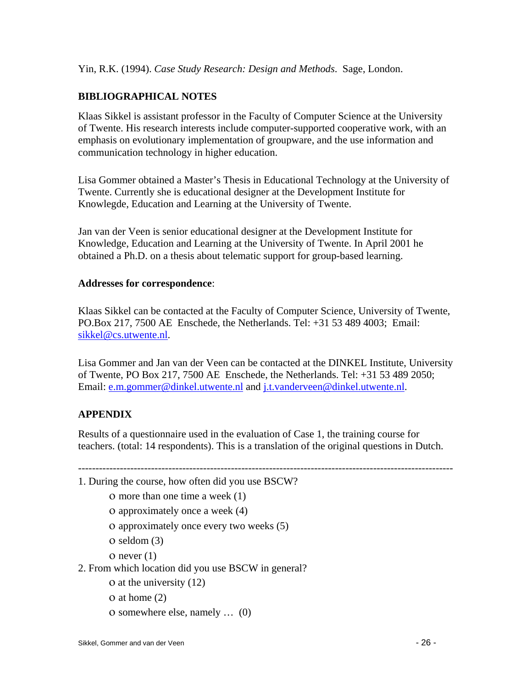Yin, R.K. (1994). *Case Study Research: Design and Methods*. Sage, London.

# **BIBLIOGRAPHICAL NOTES**

Klaas Sikkel is assistant professor in the Faculty of Computer Science at the University of Twente. His research interests include computer-supported cooperative work, with an emphasis on evolutionary implementation of groupware, and the use information and communication technology in higher education.

Lisa Gommer obtained a Master's Thesis in Educational Technology at the University of Twente. Currently she is educational designer at the Development Institute for Knowlegde, Education and Learning at the University of Twente.

Jan van der Veen is senior educational designer at the Development Institute for Knowledge, Education and Learning at the University of Twente. In April 2001 he obtained a Ph.D. on a thesis about telematic support for group-based learning.

### **Addresses for correspondence**:

Klaas Sikkel can be contacted at the Faculty of Computer Science, University of Twente, PO.Box 217, 7500 AE Enschede, the Netherlands. Tel: +31 53 489 4003; Email: sikkel@cs.utwente.nl.

Lisa Gommer and Jan van der Veen can be contacted at the DINKEL Institute, University of Twente, PO Box 217, 7500 AE Enschede, the Netherlands. Tel: +31 53 489 2050; Email: e.m.gommer@dinkel.utwente.nl and j.t.vanderveen@dinkel.utwente.nl.

# **APPENDIX**

Results of a questionnaire used in the evaluation of Case 1, the training course for teachers. (total: 14 respondents). This is a translation of the original questions in Dutch.

- 1. During the course, how often did you use BSCW?
	- ο more than one time a week (1)
	- ο approximately once a week (4)
	- ο approximately once every two weeks (5)
	- ο seldom (3)
	- $o$  never  $(1)$
- 2. From which location did you use BSCW in general?
	- ο at the university (12)
	- ο at home (2)
	- ο somewhere else, namely … (0)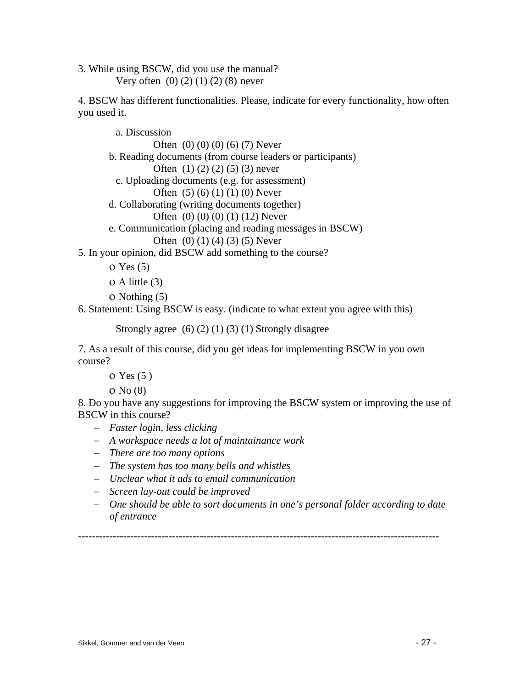3. While using BSCW, did you use the manual? Very often  $(0)$   $(2)$   $(1)$   $(2)$   $(8)$  never

4. BSCW has different functionalities. Please, indicate for every functionality, how often you used it.

a. Discussion Often  $(0) (0) (0) (6) (7)$  Never b. Reading documents (from course leaders or participants) Often  $(1) (2) (2) (5) (3)$  never c. Uploading documents (e.g. for assessment) Often (5) (6) (1) (1) (0) Never d. Collaborating (writing documents together) Often  $(0) (0) (0) (1) (12)$  Never e. Communication (placing and reading messages in BSCW) Often (0) (1) (4) (3) (5) Never 5. In your opinion, did BSCW add something to the course?

ο Yes (5)

ο A little (3)

ο Nothing (5)

6. Statement: Using BSCW is easy. (indicate to what extent you agree with this)

```
Strongly agree (6) (2) (1) (3) (1) Strongly disagree
```
7. As a result of this course, did you get ideas for implementing BSCW in you own course?

ο Yes (5 )

ο No (8)

8. Do you have any suggestions for improving the BSCW system or improving the use of BSCW in this course?

− *Faster login, less clicking* 

- − *A workspace needs a lot of maintainance work*
- − *There are too many options*
- − *The system has too many bells and whistles*
- − *Unclear what it ads to email communication*
- − *Screen lay-out could be improved*
- − *One should be able to sort documents in one's personal folder according to date of entrance*

**--------------------------------------------------------------------------------------------------------**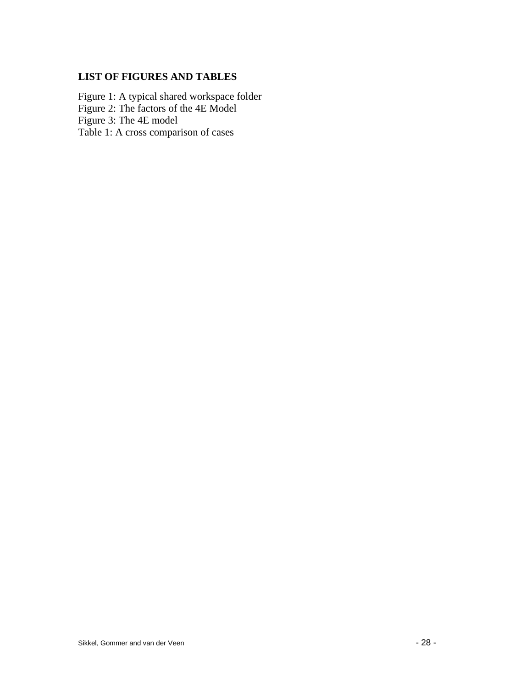# **LIST OF FIGURES AND TABLES**

Figure 1: A typical shared workspace folder Figure 2: The factors of the 4E Model Figure 3: The 4E model Table 1: A cross comparison of cases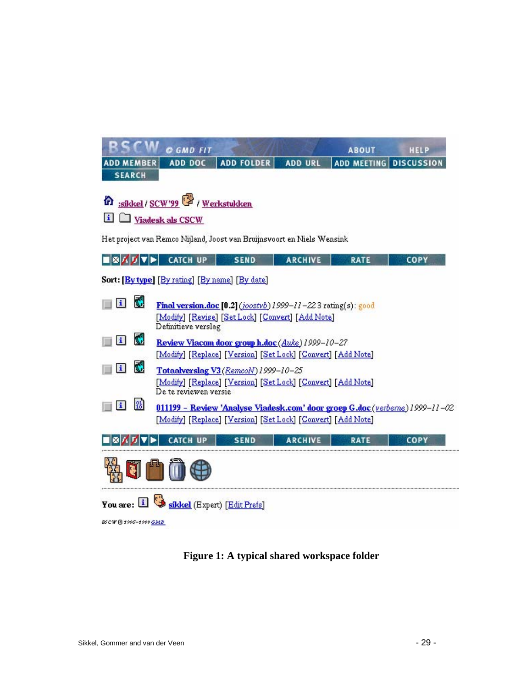|                                                                                                                                                                              | © GMD FIT                                                                                                                     |                                                                        |                | <b>ABOUT</b>           | HELP        |  |  |
|------------------------------------------------------------------------------------------------------------------------------------------------------------------------------|-------------------------------------------------------------------------------------------------------------------------------|------------------------------------------------------------------------|----------------|------------------------|-------------|--|--|
| <b>ADD MEMBER</b>                                                                                                                                                            | ADD DOC                                                                                                                       | <b>ADD FOLDER</b>                                                      | <b>ADD URL</b> | ADD MEETING DISCUSSION |             |  |  |
| <b>SEARCH</b>                                                                                                                                                                |                                                                                                                               |                                                                        |                |                        |             |  |  |
| <b>n</b> :sikkel / SCW'99 <sup>o</sup> / Werkstukken<br>i Viadesk als CSCW                                                                                                   |                                                                                                                               |                                                                        |                |                        |             |  |  |
|                                                                                                                                                                              |                                                                                                                               | Het project van Remco Nijland, Joost van Bruijnsvoort en Niels Wensink |                |                        |             |  |  |
| ▮▧◪◪◥◾◣                                                                                                                                                                      | <b>CATCH UP</b>                                                                                                               | <b>SEND</b>                                                            | <b>ARCHIVE</b> | <b>RATE</b>            | <b>COPY</b> |  |  |
|                                                                                                                                                                              | Sort: [By type] [By rating] [By name] [By date]                                                                               |                                                                        |                |                        |             |  |  |
| N<br>$\mathbf{i}$<br>Final version.doc [0.2] (joostvb) 1999-11-223 rating(s): good<br>[Modify] [Revise] [Set Lock] [Convert] [Add Note]<br>Definitieve verslag               |                                                                                                                               |                                                                        |                |                        |             |  |  |
| M<br>土                                                                                                                                                                       | Review Viacom door group h.doc (Auke) 1999-10-27<br>[Modify] [Replace] [Version] [Set Lock] [Convert] [Add Note]              |                                                                        |                |                        |             |  |  |
| M<br>$\vert i \vert$                                                                                                                                                         | Totaalverslag V3 (RemcoN) 1999-10-25<br>[Modify] [Replace] [Version] [Set Lock] [Convert] [Add Note]<br>De te reviewen versie |                                                                        |                |                        |             |  |  |
| $^{91}_{16}$<br>$\mathbf{i}$<br>011199 - Review 'Analyse Viadesk.com' door groep G.doc (verberne) 1999-11-02<br>[Modify] [Replace] [Version] [Set Lock] [Convert] [Add Note] |                                                                                                                               |                                                                        |                |                        |             |  |  |
| мı                                                                                                                                                                           | <b>CATCH UP</b>                                                                                                               | <b>SEND</b>                                                            | <b>ARCHIVE</b> | <b>RATE</b>            | <b>COPY</b> |  |  |
|                                                                                                                                                                              |                                                                                                                               |                                                                        |                |                        |             |  |  |
| $\mathbf{H}$                                                                                                                                                                 |                                                                                                                               | sikkel (Expert) [Edit Prefs]                                           |                |                        |             |  |  |
| <b>BSCW @1995-1999 GMD</b>                                                                                                                                                   |                                                                                                                               |                                                                        |                |                        |             |  |  |

**Figure 1: A typical shared workspace folder**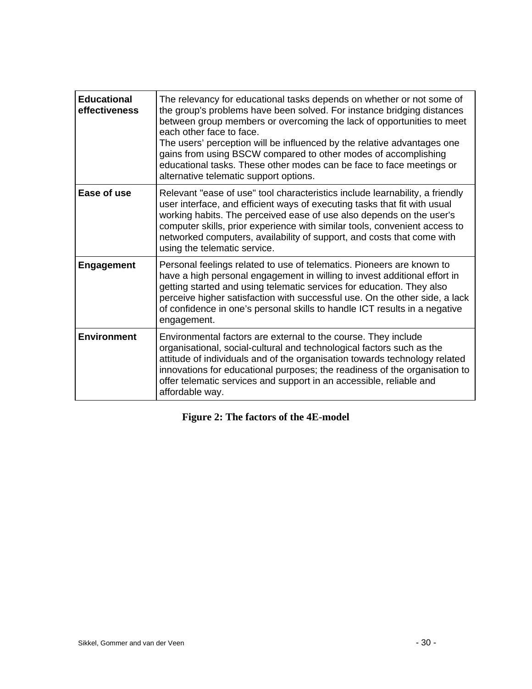| <b>Educational</b><br>effectiveness | The relevancy for educational tasks depends on whether or not some of<br>the group's problems have been solved. For instance bridging distances<br>between group members or overcoming the lack of opportunities to meet<br>each other face to face.<br>The users' perception will be influenced by the relative advantages one<br>gains from using BSCW compared to other modes of accomplishing<br>educational tasks. These other modes can be face to face meetings or<br>alternative telematic support options. |
|-------------------------------------|---------------------------------------------------------------------------------------------------------------------------------------------------------------------------------------------------------------------------------------------------------------------------------------------------------------------------------------------------------------------------------------------------------------------------------------------------------------------------------------------------------------------|
| Ease of use                         | Relevant "ease of use" tool characteristics include learnability, a friendly<br>user interface, and efficient ways of executing tasks that fit with usual<br>working habits. The perceived ease of use also depends on the user's<br>computer skills, prior experience with similar tools, convenient access to<br>networked computers, availability of support, and costs that come with<br>using the telematic service.                                                                                           |
| <b>Engagement</b>                   | Personal feelings related to use of telematics. Pioneers are known to<br>have a high personal engagement in willing to invest additional effort in<br>getting started and using telematic services for education. They also<br>perceive higher satisfaction with successful use. On the other side, a lack<br>of confidence in one's personal skills to handle ICT results in a negative<br>engagement.                                                                                                             |
| <b>Environment</b>                  | Environmental factors are external to the course. They include<br>organisational, social-cultural and technological factors such as the<br>attitude of individuals and of the organisation towards technology related<br>innovations for educational purposes; the readiness of the organisation to<br>offer telematic services and support in an accessible, reliable and<br>affordable way.                                                                                                                       |

|  |  |  |  | Figure 2: The factors of the 4E-model |
|--|--|--|--|---------------------------------------|
|--|--|--|--|---------------------------------------|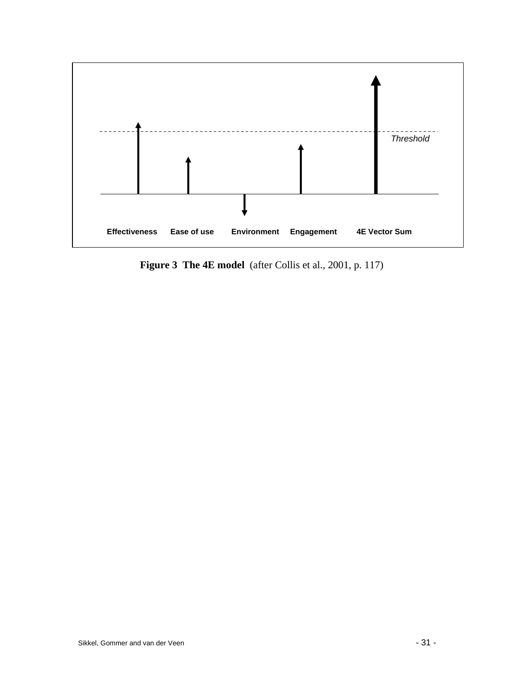

**Figure 3 The 4E model** (after Collis et al., 2001, p. 117)